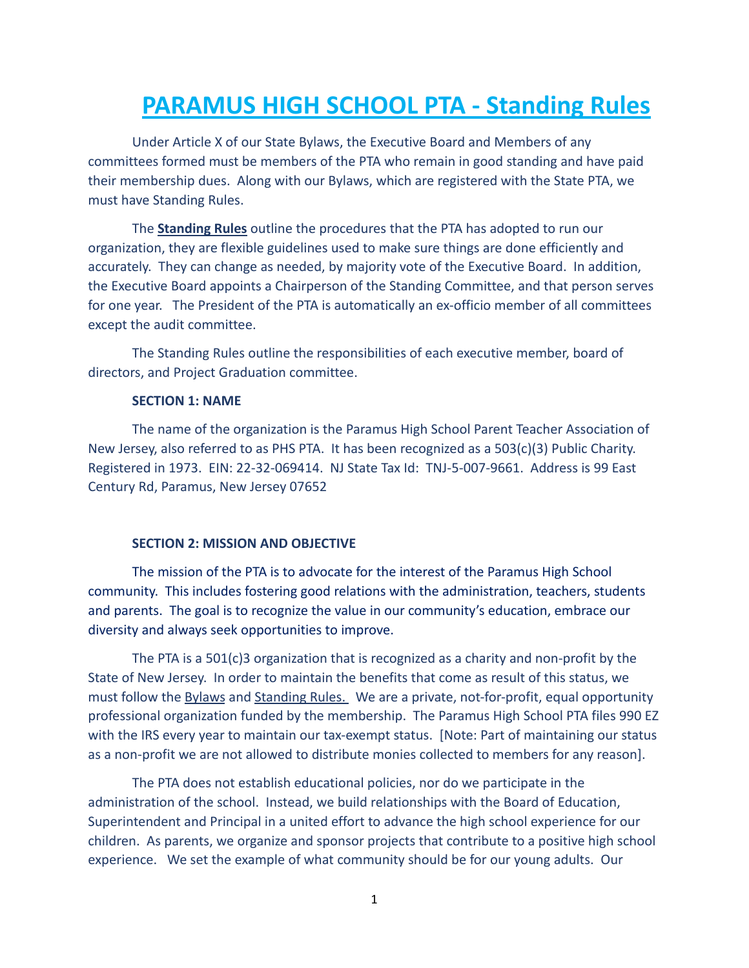# **PARAMUS HIGH SCHOOL PTA - Standing Rules**

Under Article X of our State Bylaws, the Executive Board and Members of any committees formed must be members of the PTA who remain in good standing and have paid their membership dues. Along with our Bylaws, which are registered with the State PTA, we must have Standing Rules.

The **Standing Rules** outline the procedures that the PTA has adopted to run our organization, they are flexible guidelines used to make sure things are done efficiently and accurately. They can change as needed, by majority vote of the Executive Board. In addition, the Executive Board appoints a Chairperson of the Standing Committee, and that person serves for one year. The President of the PTA is automatically an ex-officio member of all committees except the audit committee.

The Standing Rules outline the responsibilities of each executive member, board of directors, and Project Graduation committee.

#### **SECTION 1: NAME**

The name of the organization is the Paramus High School Parent Teacher Association of New Jersey, also referred to as PHS PTA. It has been recognized as a 503(c)(3) Public Charity. Registered in 1973. EIN: 22-32-069414. NJ State Tax Id: TNJ-5-007-9661. Address is 99 East Century Rd, Paramus, New Jersey 07652

#### **SECTION 2: MISSION AND OBJECTIVE**

The mission of the PTA is to advocate for the interest of the Paramus High School community. This includes fostering good relations with the administration, teachers, students and parents. The goal is to recognize the value in our community's education, embrace our diversity and always seek opportunities to improve.

The PTA is a 501(c)3 organization that is recognized as a charity and non-profit by the State of New Jersey. In order to maintain the benefits that come as result of this status, we must follow the Bylaws and Standing Rules. We are a private, not-for-profit, equal opportunity professional organization funded by the membership. The Paramus High School PTA files 990 EZ with the IRS every year to maintain our tax-exempt status. [Note: Part of maintaining our status as a non-profit we are not allowed to distribute monies collected to members for any reason].

The PTA does not establish educational policies, nor do we participate in the administration of the school. Instead, we build relationships with the Board of Education, Superintendent and Principal in a united effort to advance the high school experience for our children. As parents, we organize and sponsor projects that contribute to a positive high school experience. We set the example of what community should be for our young adults. Our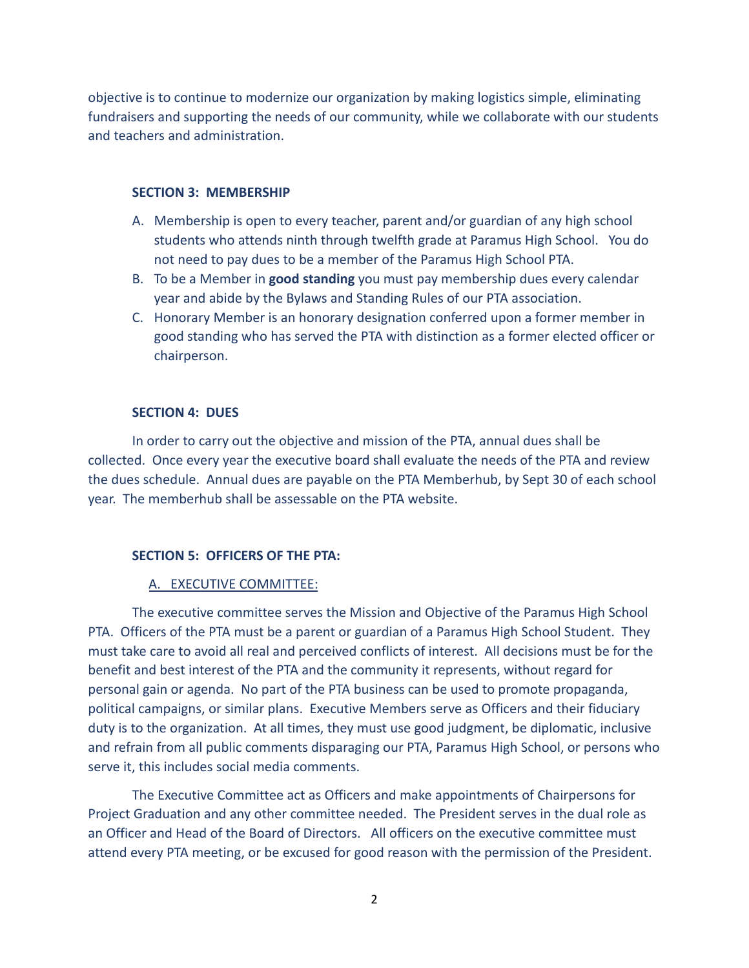objective is to continue to modernize our organization by making logistics simple, eliminating fundraisers and supporting the needs of our community, while we collaborate with our students and teachers and administration.

#### **SECTION 3: MEMBERSHIP**

- A. Membership is open to every teacher, parent and/or guardian of any high school students who attends ninth through twelfth grade at Paramus High School. You do not need to pay dues to be a member of the Paramus High School PTA.
- B. To be a Member in **good standing** you must pay membership dues every calendar year and abide by the Bylaws and Standing Rules of our PTA association.
- C. Honorary Member is an honorary designation conferred upon a former member in good standing who has served the PTA with distinction as a former elected officer or chairperson.

#### **SECTION 4: DUES**

In order to carry out the objective and mission of the PTA, annual dues shall be collected. Once every year the executive board shall evaluate the needs of the PTA and review the dues schedule. Annual dues are payable on the PTA Memberhub, by Sept 30 of each school year. The memberhub shall be assessable on the PTA website.

#### **SECTION 5: OFFICERS OF THE PTA:**

#### A. EXECUTIVE COMMITTEE:

The executive committee serves the Mission and Objective of the Paramus High School PTA. Officers of the PTA must be a parent or guardian of a Paramus High School Student. They must take care to avoid all real and perceived conflicts of interest. All decisions must be for the benefit and best interest of the PTA and the community it represents, without regard for personal gain or agenda. No part of the PTA business can be used to promote propaganda, political campaigns, or similar plans. Executive Members serve as Officers and their fiduciary duty is to the organization. At all times, they must use good judgment, be diplomatic, inclusive and refrain from all public comments disparaging our PTA, Paramus High School, or persons who serve it, this includes social media comments.

The Executive Committee act as Officers and make appointments of Chairpersons for Project Graduation and any other committee needed. The President serves in the dual role as an Officer and Head of the Board of Directors. All officers on the executive committee must attend every PTA meeting, or be excused for good reason with the permission of the President.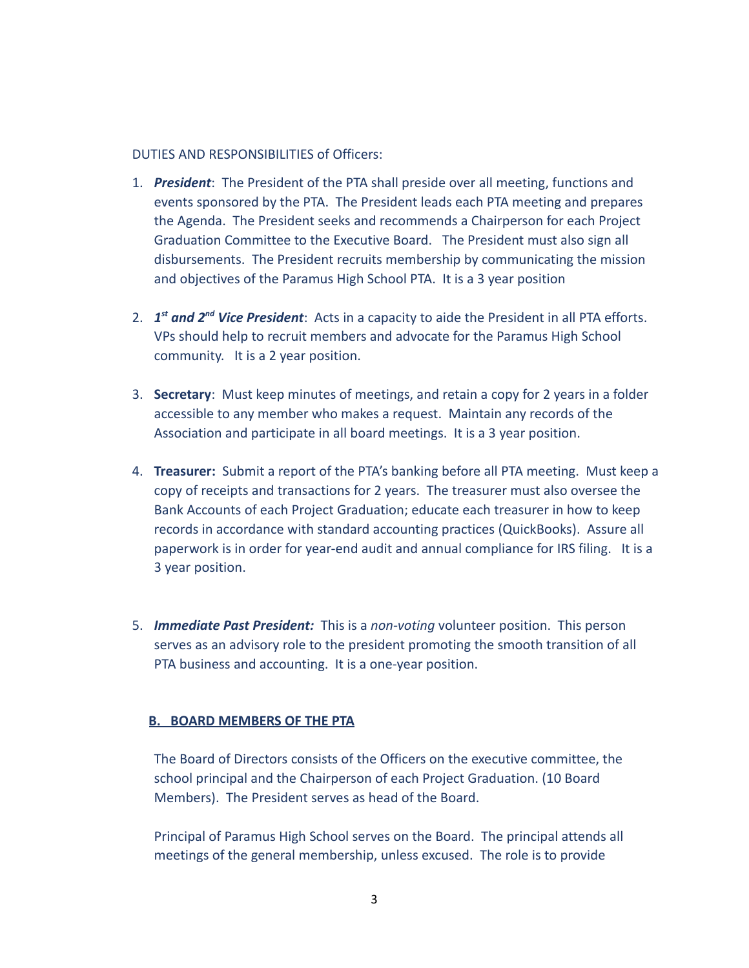## DUTIES AND RESPONSIBILITIES of Officers:

- 1. *President*: The President of the PTA shall preside over all meeting, functions and events sponsored by the PTA. The President leads each PTA meeting and prepares the Agenda. The President seeks and recommends a Chairperson for each Project Graduation Committee to the Executive Board. The President must also sign all disbursements. The President recruits membership by communicating the mission and objectives of the Paramus High School PTA. It is a 3 year position
- 2. *1 st and 2nd Vice President*: Acts in a capacity to aide the President in all PTA efforts. VPs should help to recruit members and advocate for the Paramus High School community. It is a 2 year position.
- 3. **Secretary**: Must keep minutes of meetings, and retain a copy for 2 years in a folder accessible to any member who makes a request. Maintain any records of the Association and participate in all board meetings. It is a 3 year position.
- 4. **Treasurer:** Submit a report of the PTA's banking before all PTA meeting. Must keep a copy of receipts and transactions for 2 years. The treasurer must also oversee the Bank Accounts of each Project Graduation; educate each treasurer in how to keep records in accordance with standard accounting practices (QuickBooks). Assure all paperwork is in order for year-end audit and annual compliance for IRS filing. It is a 3 year position.
- 5. *Immediate Past President:* This is a *non-voting* volunteer position. This person serves as an advisory role to the president promoting the smooth transition of all PTA business and accounting. It is a one-year position.

## **B. BOARD MEMBERS OF THE PTA**

The Board of Directors consists of the Officers on the executive committee, the school principal and the Chairperson of each Project Graduation. (10 Board Members). The President serves as head of the Board.

Principal of Paramus High School serves on the Board. The principal attends all meetings of the general membership, unless excused. The role is to provide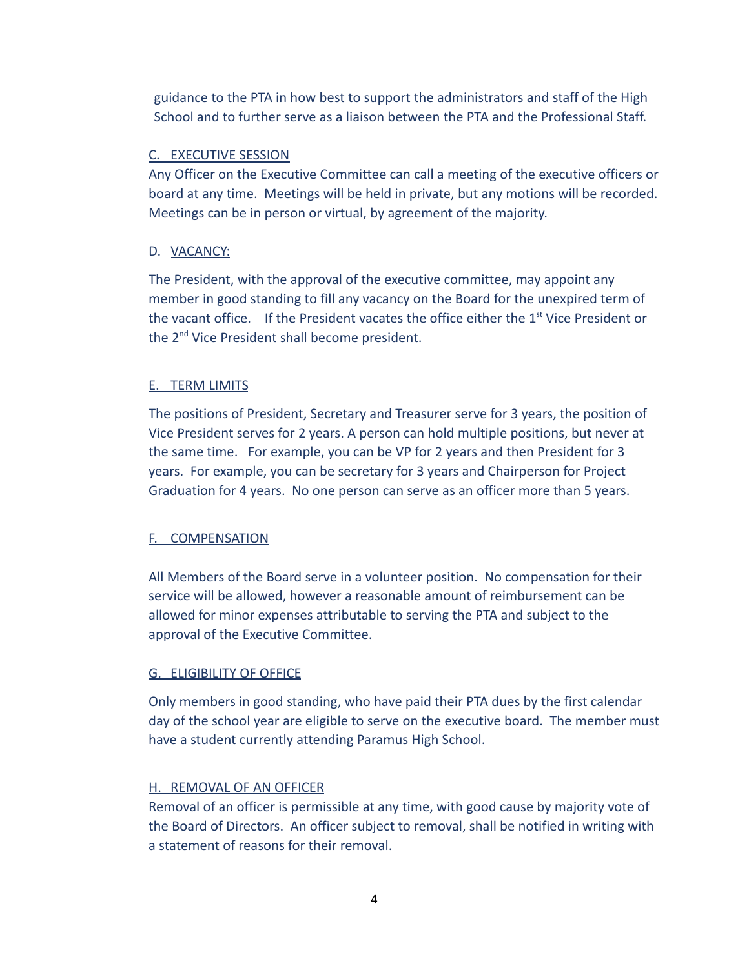guidance to the PTA in how best to support the administrators and staff of the High School and to further serve as a liaison between the PTA and the Professional Staff.

## C. EXECUTIVE SESSION

Any Officer on the Executive Committee can call a meeting of the executive officers or board at any time. Meetings will be held in private, but any motions will be recorded. Meetings can be in person or virtual, by agreement of the majority.

## D. VACANCY:

The President, with the approval of the executive committee, may appoint any member in good standing to fill any vacancy on the Board for the unexpired term of the vacant office. If the President vacates the office either the 1<sup>st</sup> Vice President or the 2<sup>nd</sup> Vice President shall become president.

## E. TERM LIMITS

The positions of President, Secretary and Treasurer serve for 3 years, the position of Vice President serves for 2 years. A person can hold multiple positions, but never at the same time. For example, you can be VP for 2 years and then President for 3 years. For example, you can be secretary for 3 years and Chairperson for Project Graduation for 4 years. No one person can serve as an officer more than 5 years.

## F. COMPENSATION

All Members of the Board serve in a volunteer position. No compensation for their service will be allowed, however a reasonable amount of reimbursement can be allowed for minor expenses attributable to serving the PTA and subject to the approval of the Executive Committee.

## G. ELIGIBILITY OF OFFICE

Only members in good standing, who have paid their PTA dues by the first calendar day of the school year are eligible to serve on the executive board. The member must have a student currently attending Paramus High School.

## H. REMOVAL OF AN OFFICER

Removal of an officer is permissible at any time, with good cause by majority vote of the Board of Directors. An officer subject to removal, shall be notified in writing with a statement of reasons for their removal.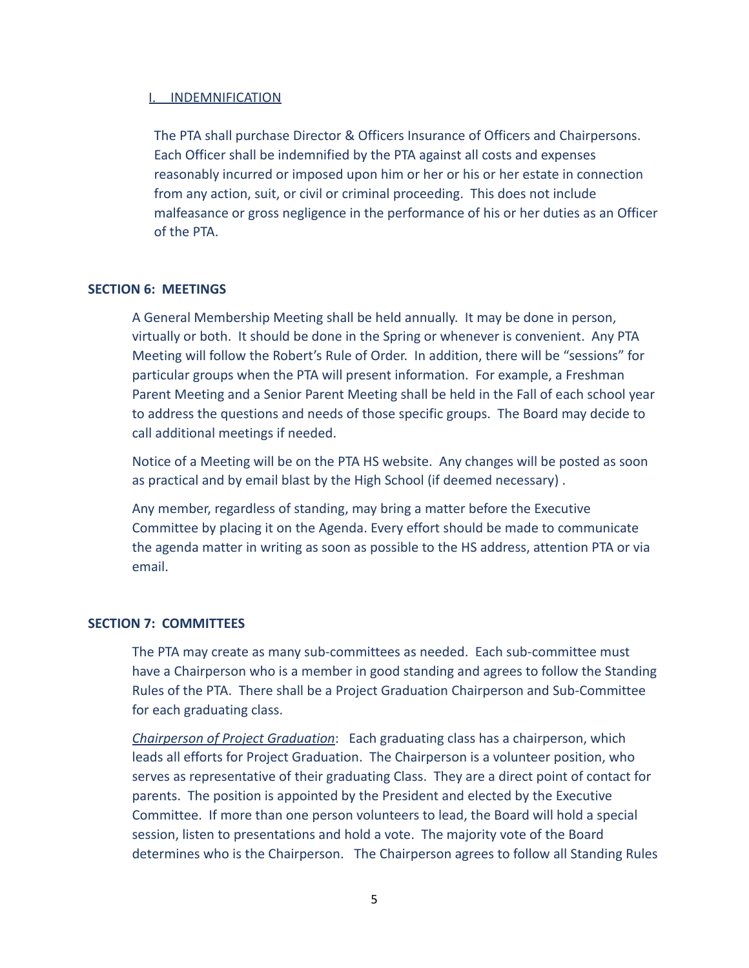## I. INDEMNIFICATION

The PTA shall purchase Director & Officers Insurance of Officers and Chairpersons. Each Officer shall be indemnified by the PTA against all costs and expenses reasonably incurred or imposed upon him or her or his or her estate in connection from any action, suit, or civil or criminal proceeding. This does not include malfeasance or gross negligence in the performance of his or her duties as an Officer of the PTA.

## **SECTION 6: MEETINGS**

A General Membership Meeting shall be held annually. It may be done in person, virtually or both. It should be done in the Spring or whenever is convenient. Any PTA Meeting will follow the Robert's Rule of Order. In addition, there will be "sessions" for particular groups when the PTA will present information. For example, a Freshman Parent Meeting and a Senior Parent Meeting shall be held in the Fall of each school year to address the questions and needs of those specific groups. The Board may decide to call additional meetings if needed.

Notice of a Meeting will be on the PTA HS website. Any changes will be posted as soon as practical and by email blast by the High School (if deemed necessary) .

Any member, regardless of standing, may bring a matter before the Executive Committee by placing it on the Agenda. Every effort should be made to communicate the agenda matter in writing as soon as possible to the HS address, attention PTA or via email.

#### **SECTION 7: COMMITTEES**

The PTA may create as many sub-committees as needed. Each sub-committee must have a Chairperson who is a member in good standing and agrees to follow the Standing Rules of the PTA. There shall be a Project Graduation Chairperson and Sub-Committee for each graduating class.

*Chairperson of Project Graduation*: Each graduating class has a chairperson, which leads all efforts for Project Graduation. The Chairperson is a volunteer position, who serves as representative of their graduating Class. They are a direct point of contact for parents. The position is appointed by the President and elected by the Executive Committee. If more than one person volunteers to lead, the Board will hold a special session, listen to presentations and hold a vote. The majority vote of the Board determines who is the Chairperson. The Chairperson agrees to follow all Standing Rules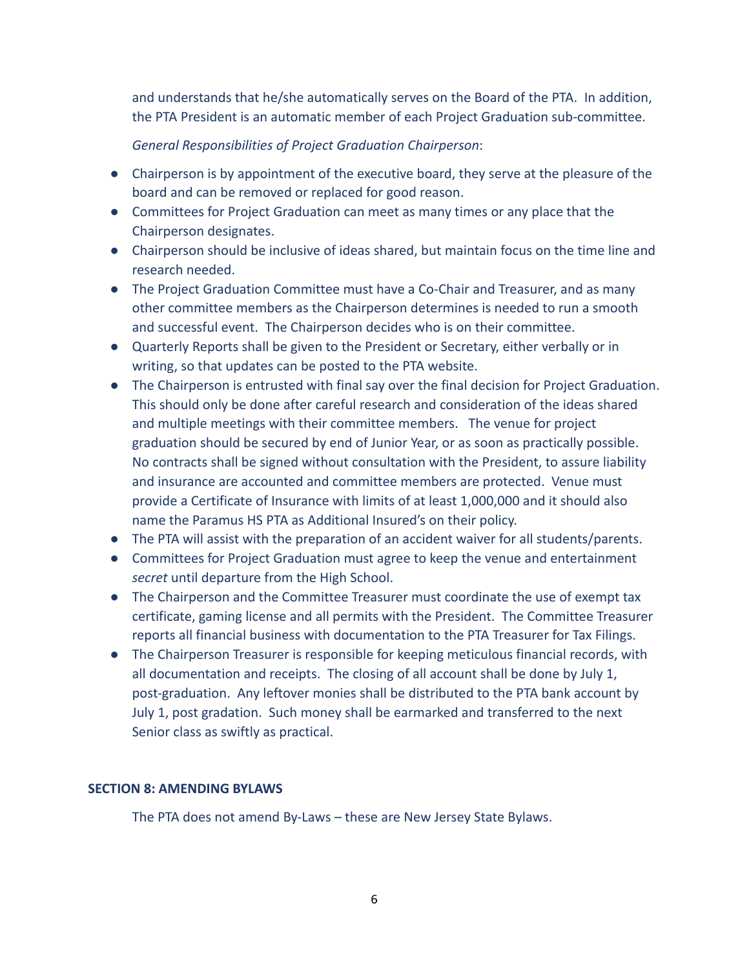and understands that he/she automatically serves on the Board of the PTA. In addition, the PTA President is an automatic member of each Project Graduation sub-committee.

*General Responsibilities of Project Graduation Chairperson*:

- Chairperson is by appointment of the executive board, they serve at the pleasure of the board and can be removed or replaced for good reason.
- Committees for Project Graduation can meet as many times or any place that the Chairperson designates.
- Chairperson should be inclusive of ideas shared, but maintain focus on the time line and research needed.
- The Project Graduation Committee must have a Co-Chair and Treasurer, and as many other committee members as the Chairperson determines is needed to run a smooth and successful event. The Chairperson decides who is on their committee.
- Quarterly Reports shall be given to the President or Secretary, either verbally or in writing, so that updates can be posted to the PTA website.
- The Chairperson is entrusted with final say over the final decision for Project Graduation. This should only be done after careful research and consideration of the ideas shared and multiple meetings with their committee members. The venue for project graduation should be secured by end of Junior Year, or as soon as practically possible. No contracts shall be signed without consultation with the President, to assure liability and insurance are accounted and committee members are protected. Venue must provide a Certificate of Insurance with limits of at least 1,000,000 and it should also name the Paramus HS PTA as Additional Insured's on their policy.
- The PTA will assist with the preparation of an accident waiver for all students/parents.
- Committees for Project Graduation must agree to keep the venue and entertainment *secret* until departure from the High School.
- The Chairperson and the Committee Treasurer must coordinate the use of exempt tax certificate, gaming license and all permits with the President. The Committee Treasurer reports all financial business with documentation to the PTA Treasurer for Tax Filings.
- The Chairperson Treasurer is responsible for keeping meticulous financial records, with all documentation and receipts. The closing of all account shall be done by July 1, post-graduation. Any leftover monies shall be distributed to the PTA bank account by July 1, post gradation. Such money shall be earmarked and transferred to the next Senior class as swiftly as practical.

## **SECTION 8: AMENDING BYLAWS**

The PTA does not amend By-Laws – these are New Jersey State Bylaws.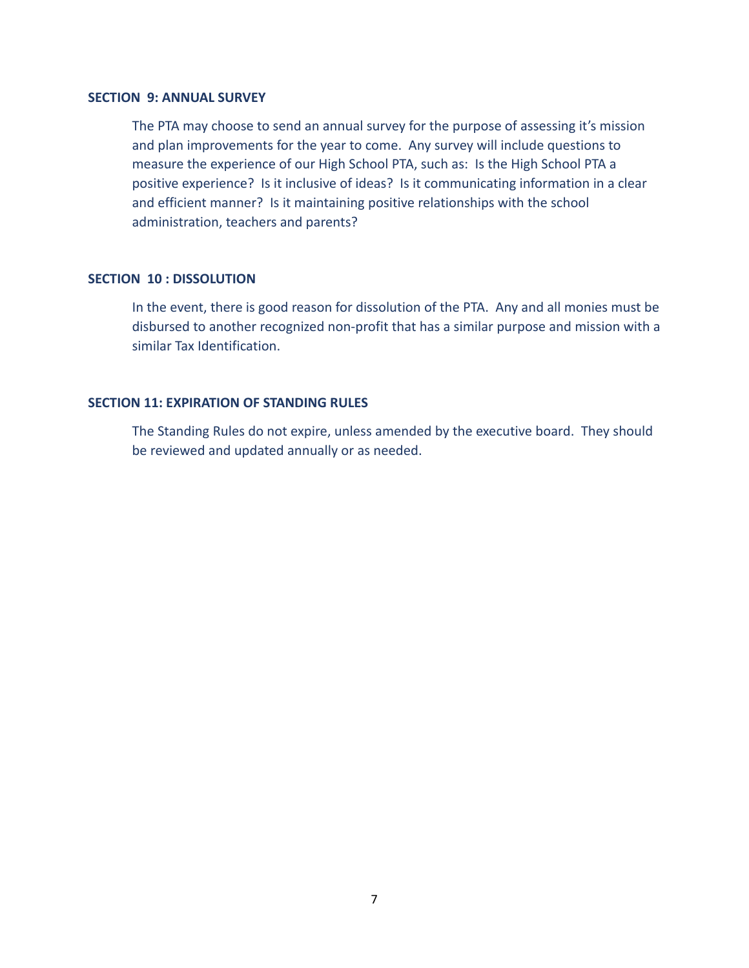#### **SECTION 9: ANNUAL SURVEY**

The PTA may choose to send an annual survey for the purpose of assessing it's mission and plan improvements for the year to come. Any survey will include questions to measure the experience of our High School PTA, such as: Is the High School PTA a positive experience? Is it inclusive of ideas? Is it communicating information in a clear and efficient manner? Is it maintaining positive relationships with the school administration, teachers and parents?

## **SECTION 10 : DISSOLUTION**

In the event, there is good reason for dissolution of the PTA. Any and all monies must be disbursed to another recognized non-profit that has a similar purpose and mission with a similar Tax Identification.

## **SECTION 11: EXPIRATION OF STANDING RULES**

The Standing Rules do not expire, unless amended by the executive board. They should be reviewed and updated annually or as needed.